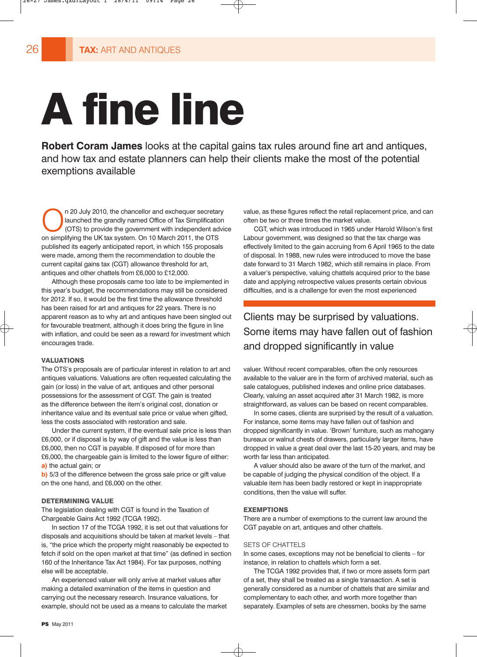# A fine line

**Robert Coram James** looks at the capital gains tax rules around fine art and antiques, and how tax and estate planners can help their clients make the most of the potential exemptions available

n 20 July 2010, the chancellor and exchequer secretary launched the grandly named Office of Tax Simplification (OTS) to provide the government with independent advice on simplifying the UK tax system. On 10 March 2011, the OTS published its eagerly anticipated report, in which 155 proposals were made, among them the recommendation to double the current capital gains tax (CGT) allowance threshold for art, antiques and other chattels from £6,000 to £12,000.

Although these proposals came too late to be implemented in this year's budget, the recommendations may still be considered for 2012. If so, it would be the first time the allowance threshold has been raised for art and antiques for 22 years. There is no apparent reason as to why art and antiques have been singled out for favourable treatment, although it does bring the figure in line with inflation, and could be seen as a reward for investment which encourages trade.

#### VALUATIONS

The OTS's proposals are of particular interest in relation to art and antiques valuations. Valuations are often requested calculating the gain (or loss) in the value of art, antiques and other personal possessions for the assessment of CGT. The gain is treated as the difference between the item's original cost, donation or inheritance value and its eventual sale price or value when gifted, less the costs associated with restoration and sale.

Under the current system, if the eventual sale price is less than £6,000, or if disposal is by way of gift and the value is less than £6,000, then no CGT is payable. If disposed of for more than £6,000, the chargeable gain is limited to the lower figure of either: **a)** the actual gain; or

**b)** 5/3 of the difference between the gross sale price or gift value on the one hand, and £6,000 on the other.

## DETERMINING VALUE

The legislation dealing with CGT is found in the Taxation of Chargeable Gains Act 1992 (TCGA 1992).

In section 17 of the TCGA 1992, it is set out that valuations for disposals and acquisitions should be taken at market levels – that is, "the price which the property might reasonably be expected to fetch if sold on the open market at that time" (as defined in section 160 of the Inheritance Tax Act 1984). For tax purposes, nothing else will be acceptable.

An experienced valuer will only arrive at market values after making a detailed examination of the items in question and carrying out the necessary research. Insurance valuations, for example, should not be used as a means to calculate the market value, as these figures reflect the retail replacement price, and can often be two or three times the market value.

CGT, which was introduced in 1965 under Harold Wilson's first Labour government, was designed so that the tax charge was effectively limited to the gain accruing from 6 April 1965 to the date of disposal. In 1988, new rules were introduced to move the base date forward to 31 March 1982, which still remains in place. From a valuer's perspective, valuing chattels acquired prior to the base date and applying retrospective values presents certain obvious difficulties, and is a challenge for even the most experienced

# Clients may be surprised by valuations. Some items may have fallen out of fashion and dropped significantly in value

valuer. Without recent comparables, often the only resources available to the valuer are in the form of archived material, such as sale catalogues, published indexes and online price databases. Clearly, valuing an asset acquired after 31 March 1982, is more straightforward, as values can be based on recent comparables.

In some cases, clients are surprised by the result of a valuation. For instance, some items may have fallen out of fashion and dropped significantly in value. 'Brown' furniture, such as mahogany bureaux or walnut chests of drawers, particularly larger items, have dropped in value a great deal over the last 15-20 years, and may be worth far less than anticipated.

A valuer should also be aware of the turn of the market, and be capable of judging the physical condition of the object. If a valuable item has been badly restored or kept in inappropriate conditions, then the value will suffer.

#### EXEMPTIONS

There are a number of exemptions to the current law around the CGT payable on art, antiques and other chattels.

#### SETS OF CHATTELS

In some cases, exceptions may not be beneficial to clients – for instance, in relation to chattels which form a set.

The TCGA 1992 provides that, if two or more assets form part of a set, they shall be treated as a single transaction. A set is generally considered as a number of chattels that are similar and complementary to each other, and worth more together than separately. Examples of sets are chessmen, books by the same